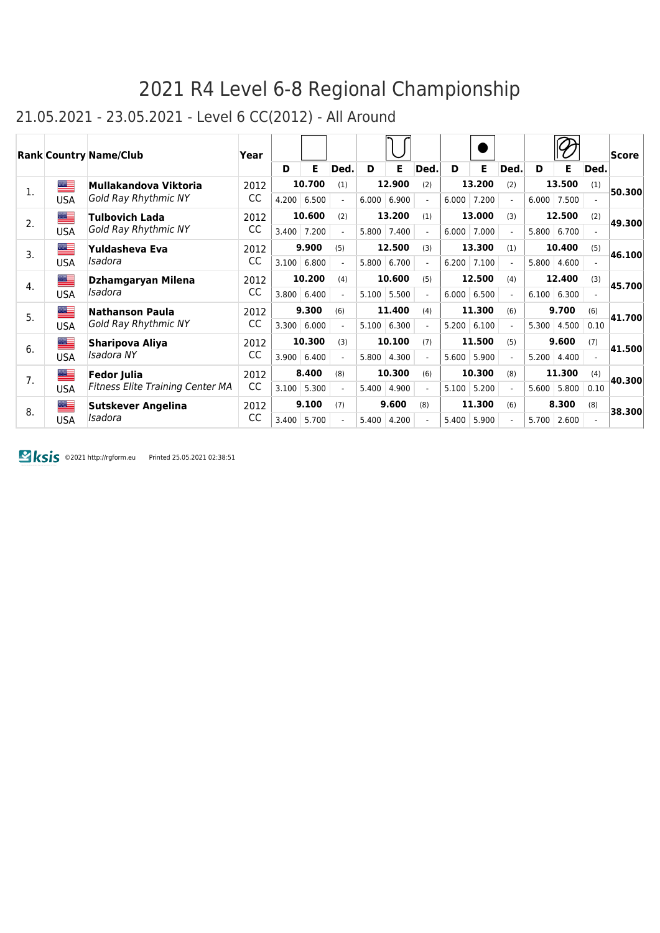#### 21.05.2021 - 23.05.2021 - Level 6 CC(2012) - All Around

|    |            | <b>Rank Country Name/Club</b>           | Year |       |        |                |       |        |      |       |        |                          |       |               |      | Score  |
|----|------------|-----------------------------------------|------|-------|--------|----------------|-------|--------|------|-------|--------|--------------------------|-------|---------------|------|--------|
|    |            |                                         |      | D     | Е      | Ded.           | D     | Е      | Ded. | D     | Е      | Ded.                     | D     | Е             | Ded. |        |
| 1. | ▆▆         | Mullakandova Viktoria                   | 2012 |       | 10.700 | (1)            |       | 12.900 | (2)  |       | 13.200 | (2)                      |       | 13.500        | (1)  | 50,300 |
|    | USA        | <b>Gold Ray Rhythmic NY</b>             | CC   | 4.200 | 6.500  |                | 6.000 | 6.900  |      | 6.000 | 7.200  | $\sim$                   | 6.000 | 7.500         |      |        |
| 2. | ≝          | <b>Tulbovich Lada</b>                   | 2012 |       | 10.600 | (2)            |       | 13.200 | (1)  |       | 13.000 | (3)                      |       | 12.500        | (2)  | 49.300 |
|    | USA        | Gold Ray Rhythmic NY                    | CC   | 3.400 | 7.200  |                | 5.800 | 7.400  |      | 6.000 | 7.000  | $\overline{\phantom{0}}$ |       | 5.800   6.700 |      |        |
| 3. | <u>a a</u> | Yuldasheva Eva                          | 2012 |       | 9.900  | (5)            |       | 12.500 | (3)  |       | 13.300 | (1)                      |       | 10.400        | (5)  | 46.100 |
|    | USA        | Isadora                                 | CC   | 3.100 | 6.800  |                | 5.800 | 6.700  |      | 6.200 | 7.100  |                          | 5.800 | 4.600         |      |        |
| 4. | ▆▆         | Dzhamgaryan Milena                      | 2012 |       | 10.200 | (4)            |       | 10.600 | (5)  |       | 12.500 | (4)                      |       | 12.400        | (3)  | 45.700 |
|    | USA        | Isadora                                 | CC   | 3.800 | 6.400  |                | 5.100 | 5.500  |      | 6.000 | 6.500  | $\overline{a}$           | 6.100 | 6.300         |      |        |
| 5. | =          | <b>Nathanson Paula</b>                  | 2012 |       | 9.300  | (6)            |       | 11.400 | (4)  |       | 11.300 | (6)                      |       | 9.700         | (6)  | 41.700 |
|    | USA        | Gold Ray Rhythmic NY                    | CC   | 3.300 | 6.000  | $\overline{a}$ | 5.100 | 6.300  |      | 5.200 | 6.100  |                          | 5.300 | 4.500         | 0.10 |        |
| 6. | ▆▆         | Sharipova Aliya                         | 2012 |       | 10.300 | (3)            |       | 10.100 | (7)  |       | 11.500 | (5)                      |       | 9.600         | (7)  | 41.500 |
|    | USA        | Isadora NY                              | CC   | 3.900 | 6.400  |                | 5.800 | 4.300  |      | 5.600 | 5.900  | $\overline{\phantom{0}}$ | 5.200 | 4.400         |      |        |
| 7. | <u>a </u>  | <b>Fedor Julia</b>                      | 2012 |       | 8.400  | (8)            |       | 10.300 | (6)  |       | 10.300 | (8)                      |       | 11.300        | (4)  | 40.300 |
|    | USA        | <b>Fitness Elite Training Center MA</b> | CC   | 3.100 | 5.300  |                | 5.400 | 4.900  |      | 5.100 | 5.200  | $\overline{\phantom{0}}$ | 5.600 | 5.800         | 0.10 |        |
| 8. | <u>est</u> | <b>Sutskever Angelina</b>               | 2012 |       | 9.100  | (7)            |       | 9.600  | (8)  |       | 11.300 | (6)                      |       | 8.300         | (8)  | 38.300 |
|    | USA        | Isadora                                 | CC   | 3.400 | 5.700  |                | 5.400 | 4.200  |      | 5.400 | 5.900  |                          | 5.700 | 2.600         |      |        |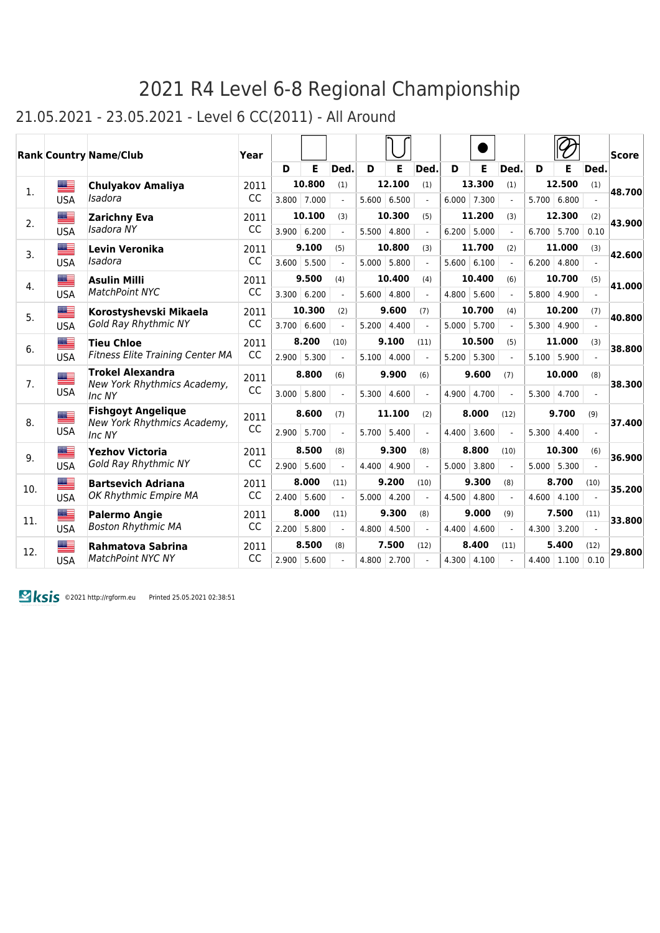#### 21.05.2021 - 23.05.2021 - Level 6 CC(2011) - All Around

|     |                  | <b>Rank Country Name/Club</b>                            | Year      |       |               |                |       |               |                             |       |               |                |       |                    |                | <b>Score</b> |
|-----|------------------|----------------------------------------------------------|-----------|-------|---------------|----------------|-------|---------------|-----------------------------|-------|---------------|----------------|-------|--------------------|----------------|--------------|
|     |                  |                                                          |           | D     | E             | Ded.           | D     | E             | Ded.                        | D     | Е             | Ded.           | D     | Е                  | Ded.           |              |
| 1.  |                  | <b>Chulyakov Amaliya</b>                                 | 2011      |       | 10.800        | (1)            |       | 12.100        | (1)                         |       | 13.300        | (1)            |       | 12.500             | (1)            | 48.700       |
|     | <b>USA</b>       | Isadora                                                  | CC        |       | $3.800$ 7.000 | $\overline{a}$ |       | 5.600   6.500 | $\overline{a}$              |       | $6.000$ 7.300 | $\overline{a}$ |       | 5.700 6.800        |                |              |
| 2.  | ≝                | <b>Zarichny Eva</b>                                      | 2011      |       | 10.100        | (3)            |       | 10.300        | (5)                         |       | 11.200        | (3)            |       | 12.300             | (2)            | 43.900       |
|     | <b>USA</b>       | Isadora NY                                               | <b>CC</b> | 3.900 | 6.200         | $\blacksquare$ | 5.500 | 4.800         | $\mathcal{L}^{\mathcal{L}}$ | 6.200 | 5.000         | $\blacksquare$ |       | $6.700$ 5.700      | 0.10           |              |
| 3.  | █≡               | Levin Veronika                                           | 2011      |       | 9.100         | (5)            |       | 10.800        | (3)                         |       | 11.700        | (2)            |       | 11.000             | (3)            | 42.600       |
|     | <b>USA</b>       | Isadora                                                  | CC        | 3.600 | 5.500         |                | 5.000 | 5.800         |                             |       | 5.600   6.100 |                |       | $6.200 \mid 4.800$ |                |              |
|     | ▆▆               | <b>Asulin Milli</b>                                      | 2011      |       | 9.500         | (4)            |       | 10.400        | (4)                         |       | 10.400        | (6)            |       | 10.700             | (5)            |              |
| 4.  | <b>USA</b>       | <b>MatchPoint NYC</b>                                    | CC        | 3.300 | 6.200         | $\overline{a}$ | 5.600 | 4.800         |                             | 4.800 | 5.600         |                |       | $5.800 \mid 4.900$ |                | 41.000       |
|     | ▆▆               | Korostyshevski Mikaela                                   | 2011      |       | 10.300        | (2)            |       | 9.600         | (7)                         |       | 10.700        | (4)            |       | 10.200             | (7)            |              |
| 5.  | <b>USA</b>       | <b>Gold Ray Rhythmic NY</b>                              | CC        | 3.700 | 6.600         | $\overline{a}$ | 5.200 | 4.400         | $\overline{a}$              | 5.000 | 5.700         | $\overline{a}$ | 5.300 | 4.900              |                | 40.800       |
|     | █▆               | <b>Tieu Chloe</b>                                        | 2011      |       | 8.200         | (10)           |       | 9.100         | (11)                        |       | 10.500        | (5)            |       | 11.000             | (3)            |              |
| 6.  | <b>USA</b>       | <b>Fitness Elite Training Center MA</b>                  | CC        | 2.900 | 5.300         |                | 5.100 | 4.000         |                             | 5.200 | 5.300         |                | 5.100 | 5.900              |                | 38.800       |
|     |                  | <b>Trokel Alexandra</b>                                  | 2011      |       | 8.800         | (6)            |       | 9.900         | (6)                         |       | 9.600         | (7)            |       | 10.000             | (8)            |              |
| 7.  | █▆<br><b>USA</b> | New York Rhythmics Academy,                              | CC        | 3.000 | 5.800         | $\overline{a}$ |       | 4.600         | $\overline{a}$              | 4.900 | 4.700         | $\overline{a}$ | 5.300 | 4.700              |                | 38.300       |
|     |                  | Inc NY                                                   |           |       |               |                | 5.300 |               |                             |       |               |                |       |                    | $\overline{a}$ |              |
| 8.  | █≡               | <b>Fishgoyt Angelique</b><br>New York Rhythmics Academy, | 2011      |       | 8.600         | (7)            |       | 11.100        | (2)                         |       | 8.000         | (12)           |       | 9.700              | (9)            | 37.400       |
|     | <b>USA</b>       | Inc NY                                                   | CC        | 2.900 | 5.700         |                | 5.700 | 5.400         |                             | 4.400 | 3.600         |                | 5.300 | 4.400              |                |              |
|     | █▆               | <b>Yezhov Victoria</b>                                   | 2011      |       | 8.500         | (8)            |       | 9.300         | (8)                         |       | 8.800         | (10)           |       | 10.300             | (6)            |              |
| 9.  | <b>USA</b>       | <b>Gold Ray Rhythmic NY</b>                              | CC        | 2.900 | 5.600         | $\overline{a}$ | 4.400 | 4.900         | $\overline{a}$              | 5.000 | 3.800         | $\overline{a}$ |       | $5.000$ 5.300      |                | 36.900       |
|     | <b>Bea</b>       | <b>Bartsevich Adriana</b>                                | 2011      |       | 8.000         | (11)           |       | 9.200         | (10)                        |       | 9.300         | (8)            |       | 8.700              | (10)           |              |
| 10. | <b>USA</b>       | OK Rhythmic Empire MA                                    | CC        | 2.400 | 5.600         |                | 5.000 | 4.200         |                             | 4.500 | 4.800         |                | 4.600 | 4.100              |                | 35.200       |
|     | ▇                | <b>Palermo Angie</b>                                     | 2011      |       | 8.000         | (11)           |       | 9.300         | (8)                         |       | 9.000         | (9)            |       | 7.500              | (11)           |              |
| 11. | <b>USA</b>       | <b>Boston Rhythmic MA</b>                                | CC        | 2.200 | 5.800         | $\overline{a}$ | 4.800 | 4.500         |                             | 4.400 | 4.600         |                | 4.300 | 3.200              |                | 33.800       |
|     | ▓≡               | Rahmatova Sabrina                                        | 2011      |       | 8.500         | (8)            |       | 7.500         | (12)                        |       | 8.400         | (11)           |       | 5.400              | (12)           |              |
| 12. | <b>USA</b>       | <b>MatchPoint NYC NY</b>                                 | CC        | 2.900 | 5.600         |                | 4.800 | 2.700         |                             | 4.300 | 4.100         |                | 4.400 | 1.100              | 0.10           | 29.800       |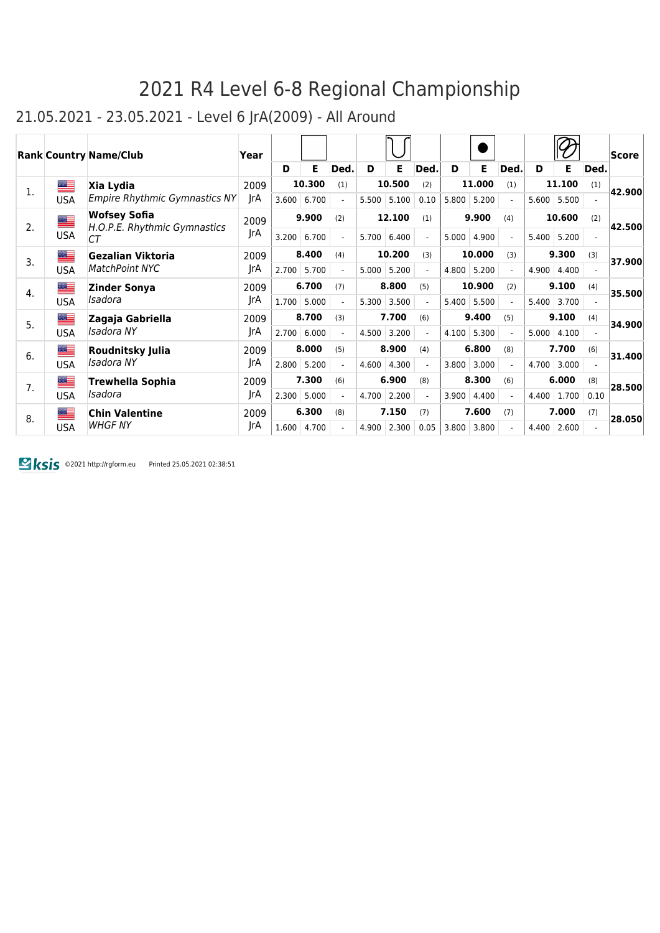### 21.05.2021 - 23.05.2021 - Level 6 JrA(2009) - All Around

|    |            | <b>Rank Country Name/Club</b>                       | Year |       |        |                          |       |        |                          |       |        |                          |       |               |      | Score  |
|----|------------|-----------------------------------------------------|------|-------|--------|--------------------------|-------|--------|--------------------------|-------|--------|--------------------------|-------|---------------|------|--------|
|    |            |                                                     |      | D     | Е      | Ded.                     | D     | Е      | Ded.                     | D     | Е      | Ded.                     | D     | Ε             | Ded. |        |
| 1. | ▆          | Xia Lydia                                           | 2009 |       | 10.300 | (1)                      |       | 10.500 | (2)                      |       | 11.000 | (1)                      |       | 11.100        | (1)  | 42.900 |
|    | USA        | <b>Empire Rhythmic Gymnastics NY</b>                | JrA  | 3.600 | 6.700  |                          | 5.500 | 5.100  | 0.10                     | 5.800 | 5.200  | $\blacksquare$           |       | $5.600$ 5.500 |      |        |
| 2. | █          | <b>Wofsey Sofia</b><br>H.O.P.E. Rhythmic Gymnastics | 2009 |       | 9.900  | (2)                      |       | 12.100 | (1)                      |       | 9.900  | (4)                      |       | 10.600        | (2)  | 42.500 |
|    | <b>USA</b> | CТ                                                  | JrA  | 3.200 | 6.700  | $\overline{a}$           | 5.700 | 6.400  | $\overline{a}$           | 5.000 | 4.900  | $\blacksquare$           | 5.400 | 5.200         |      |        |
| 3. | █▆         | Gezalian Viktoria                                   | 2009 |       | 8.400  | (4)                      |       | 10.200 | (3)                      |       | 10.000 | (3)                      |       | 9.300         | (3)  | 37.900 |
|    | <b>USA</b> | <b>MatchPoint NYC</b>                               | JrA  | 2.700 | 5.700  | $\overline{\phantom{a}}$ | 5.000 | 5.200  | $\overline{\phantom{a}}$ | 4.800 | 5.200  | $\overline{\phantom{a}}$ | 4.900 | 4.400         |      |        |
| 4. |            | Zinder Sonya                                        | 2009 |       | 6.700  | (7)                      |       | 8.800  | (5)                      |       | 10.900 | (2)                      |       | 9.100         | (4)  | 35.500 |
|    | USA        | Isadora                                             | JrA  | 1.700 | 5.000  |                          | 5.300 | 3.500  |                          | 5.400 | 5.500  |                          | 5.400 | 3.700         |      |        |
| 5. | ▀          | Zagaja Gabriella                                    | 2009 |       | 8.700  | (3)                      |       | 7.700  | (6)                      |       | 9.400  | (5)                      |       | 9.100         | (4)  | 34.900 |
|    | USA        | Isadora NY                                          | JrA  | 2.700 | 6.000  |                          | 4.500 | 3.200  |                          | 4.100 | 5.300  |                          | 5.000 | 4.100         |      |        |
| 6. | ██         | Roudnitsky Julia                                    | 2009 |       | 8.000  | (5)                      |       | 8.900  | (4)                      |       | 6.800  | (8)                      |       | 7.700         | (6)  | 31.400 |
|    | <b>USA</b> | Isadora NY                                          | JrA  | 2.800 | 5.200  |                          | 4.600 | 4.300  |                          | 3.800 | 3.000  |                          | 4.700 | 3.000         |      |        |
| 7. | <u>a a</u> | <b>Trewhella Sophia</b>                             | 2009 |       | 7.300  | (6)                      |       | 6.900  | (8)                      |       | 8.300  | (6)                      |       | 6.000         | (8)  | 28.500 |
|    | USA        | Isadora                                             | JrA  | 2.300 | 5.000  | $\overline{\phantom{a}}$ | 4.700 | 2.200  | $\overline{a}$           | 3.900 | 4.400  | $\overline{a}$           | 4.400 | 1.700         | 0.10 |        |
|    | ≝          | <b>Chin Valentine</b>                               | 2009 |       | 6.300  | (8)                      |       | 7.150  | (7)                      |       | 7.600  | (7)                      |       | 7.000         | (7)  |        |
| 8. | USA        | <b>WHGF NY</b>                                      | JrA  | 1.600 | 4.700  |                          | 4.900 | 2.300  | 0.05                     | 3.800 | 3.800  |                          | 4.400 | 2.600         |      | 28,050 |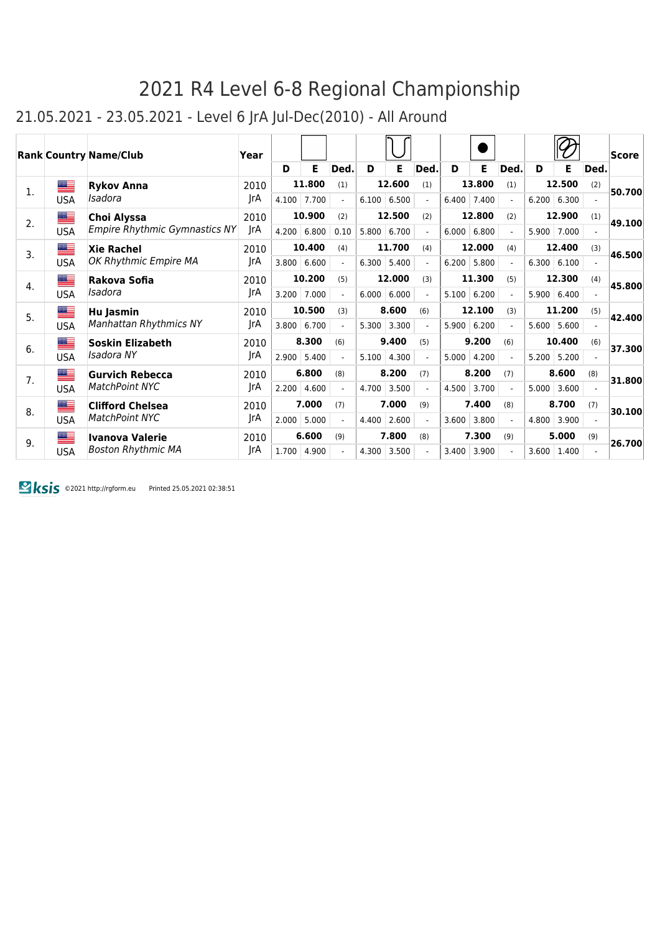#### 21.05.2021 - 23.05.2021 - Level 6 JrA Jul-Dec(2010) - All Around

|    |            | <b>Rank Country Name/Club</b> | Year |       |        |                          |       |               |                          |       |        |                |       |                    |      | Score  |
|----|------------|-------------------------------|------|-------|--------|--------------------------|-------|---------------|--------------------------|-------|--------|----------------|-------|--------------------|------|--------|
|    |            |                               |      | D     | Е      | Ded.                     | D     | Е             | Ded.                     | D     | Е      | Ded.           | D     | Е                  | Ded. |        |
| 1. | <u>e e</u> | <b>Rykov Anna</b>             | 2010 |       | 11.800 | (1)                      |       | 12.600        | (1)                      |       | 13.800 | (1)            |       | 12.500             | (2)  | 50.700 |
|    | <b>USA</b> | Isadora                       | JrA  | 4.100 | 7.700  | $\overline{\phantom{0}}$ |       | 6.100   6.500 | $\overline{\phantom{0}}$ | 6.400 | 7.400  | $\overline{a}$ |       | $6.200 \mid 6.300$ |      |        |
| 2. | ▀          | <b>Choi Alyssa</b>            | 2010 |       | 10.900 | (2)                      |       | 12.500        | (2)                      |       | 12.800 | (2)            |       | 12.900             | (1)  | 49.100 |
|    | <b>USA</b> | Empire Rhythmic Gymnastics NY | JrA  | 4.200 | 6.800  | 0.10                     | 5.800 | 6.700         | $\blacksquare$           | 6.000 | 6.800  | $\blacksquare$ | 5.900 | 7.000              |      |        |
| 3. | ██         | <b>Xie Rachel</b>             | 2010 |       | 10.400 | (4)                      |       | 11.700        | (4)                      |       | 12.000 | (4)            |       | 12.400             | (3)  | 46.500 |
|    | <b>USA</b> | OK Rhythmic Empire MA         | JrA  | 3.800 | 6.600  | $\blacksquare$           | 6.300 | 5.400         | $\blacksquare$           | 6.200 | 5.800  | $\blacksquare$ |       | 6.300   6.100      |      |        |
| 4. | █≡         | Rakova Sofia                  | 2010 |       | 10.200 | (5)                      |       | 12.000        | (3)                      |       | 11.300 | (5)            |       | 12.300             | (4)  | 45.800 |
|    | <b>USA</b> | Isadora                       | JrA  | 3.200 | 7.000  |                          | 6.000 | 6.000         |                          | 5.100 | 6.200  |                |       | 5.900   6.400      |      |        |
| 5. | ▀          | Hu Jasmin                     | 2010 |       | 10.500 | (3)                      |       | 8.600         | (6)                      |       | 12.100 | (3)            |       | 11.200             | (5)  | 42.400 |
|    | <b>USA</b> | <b>Manhattan Rhythmics NY</b> | JrA  | 3.800 | 6.700  |                          | 5.300 | 3.300         | $\overline{\phantom{0}}$ | 5.900 | 6.200  |                | 5.600 | 5.600              |      |        |
| 6. | ≝          | <b>Soskin Elizabeth</b>       | 2010 |       | 8.300  | (6)                      |       | 9.400         | (5)                      |       | 9.200  | (6)            |       | 10.400             | (6)  | 37.300 |
|    | <b>USA</b> | Isadora NY                    | JrA  | 2.900 | 5.400  | $\overline{a}$           | 5.100 | 4.300         |                          | 5.000 | 4.200  |                |       | 5.200 5.200        |      |        |
| 7. | █≡         | <b>Gurvich Rebecca</b>        | 2010 |       | 6.800  | (8)                      |       | 8.200         | (7)                      |       | 8.200  | (7)            |       | 8.600              | (8)  | 31.800 |
|    | <b>USA</b> | <b>MatchPoint NYC</b>         | JrA  | 2.200 | 4.600  | $\overline{a}$           | 4.700 | 3.500         | $\overline{a}$           | 4.500 | 3.700  | $\overline{a}$ | 5.000 | 3.600              |      |        |
| 8. | ▆▆         | <b>Clifford Chelsea</b>       | 2010 |       | 7.000  | (7)                      |       | 7.000         | (9)                      |       | 7.400  | (8)            |       | 8.700              | (7)  | 30.100 |
|    | <b>USA</b> | <b>MatchPoint NYC</b>         | JrA  | 2.000 | 5.000  | $\overline{a}$           | 4.400 | 2.600         | $\blacksquare$           | 3.600 | 3.800  | $\blacksquare$ | 4.800 | 3.900              |      |        |
| 9. | ██         | <b>Ivanova Valerie</b>        | 2010 |       | 6.600  | (9)                      |       | 7.800         | (8)                      |       | 7.300  | (9)            |       | 5.000              | (9)  | 26.700 |
|    | <b>USA</b> | <b>Boston Rhythmic MA</b>     | JrA  | 1.700 | 4.900  |                          | 4.300 | 3.500         |                          | 3.400 | 3.900  |                | 3.600 | 1.400              |      |        |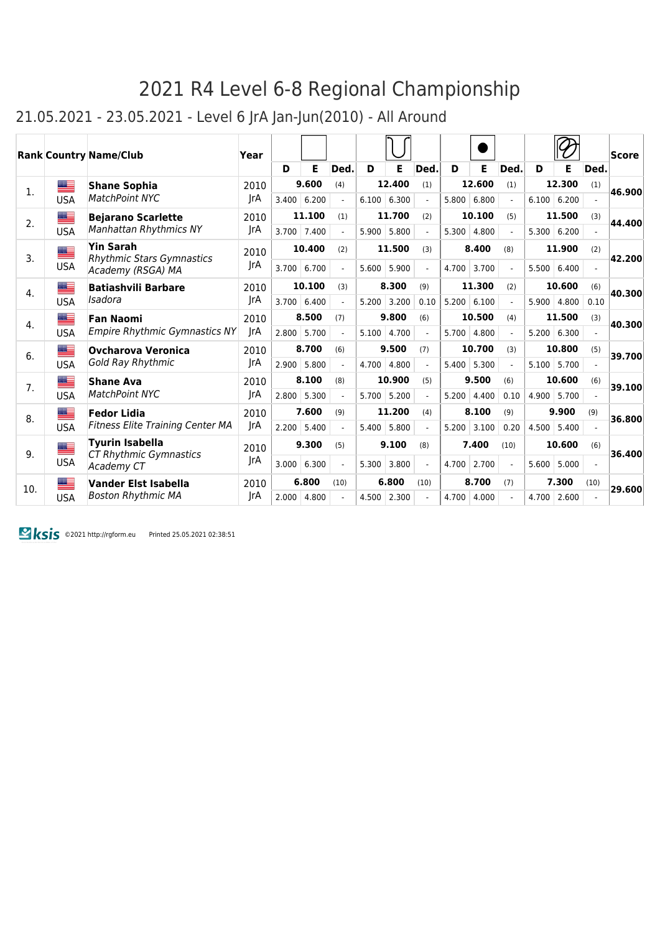#### 21.05.2021 - 23.05.2021 - Level 6 JrA Jan-Jun(2010) - All Around

|     |            | <b>Rank Country Name/Club</b>                        | Year |       |        |                          |       |               |                |       |               |                |       |               |                | Score  |
|-----|------------|------------------------------------------------------|------|-------|--------|--------------------------|-------|---------------|----------------|-------|---------------|----------------|-------|---------------|----------------|--------|
|     |            |                                                      |      | D     | Е      | Ded.                     | D     | Е             | Ded.           | D     | Е             | Ded.           | D     | Е             | Ded.           |        |
| 1.  | ▀▀         | <b>Shane Sophia</b>                                  | 2010 |       | 9.600  | (4)                      |       | 12,400        | (1)            |       | 12.600        | (1)            |       | 12.300        | (1)            | 46.900 |
|     | <b>USA</b> | MatchPoint NYC                                       | rA   | 3.400 | 6.200  | $\overline{a}$           |       | 6.100   6.300 |                |       | 5.800   6.800 | $\mathcal{L}$  |       | 6.100   6.200 |                |        |
| 2.  | ≝          | <b>Bejarano Scarlette</b>                            | 2010 |       | 11.100 | (1)                      |       | 11.700        | (2)            |       | 10.100        | (5)            |       | 11.500        | (3)            | 44.400 |
|     | <b>USA</b> | <b>Manhattan Rhythmics NY</b>                        | JrA  | 3.700 | 7.400  | $\blacksquare$           | 5.900 | 5.800         |                | 5.300 | 4.800         |                |       | 5.300   6.200 |                |        |
| 3.  | ▆▆         | <b>Yin Sarah</b><br><b>Rhythmic Stars Gymnastics</b> | 2010 |       | 10.400 | (2)                      |       | 11.500        | (3)            |       | 8.400         | (8)            |       | 11.900        | (2)            | 42.200 |
|     | <b>USA</b> | Academy (RSGA) MA                                    | rA   | 3.700 | 6.700  | $\blacksquare$           | 5.600 | 5.900         | $\overline{a}$ | 4.700 | 3.700         | $\blacksquare$ | 5.500 | 6.400         |                |        |
| 4.  | ██         | <b>Batiashvili Barbare</b>                           | 2010 |       | 10.100 | (3)                      |       | 8.300         | (9)            |       | 11.300        | (2)            |       | 10.600        | (6)            | 40.300 |
|     | <b>USA</b> | Isadora                                              | IrA  | 3.700 | 6.400  |                          | 5.200 | 3.200         | 0.10           |       | 5.200   6.100 |                | 5.900 | 4.800         | 0.10           |        |
| 4.  | <u>est</u> | <b>Fan Naomi</b>                                     | 2010 |       | 8.500  | (7)                      |       | 9.800         | (6)            |       | 10.500        | (4)            |       | 11.500        | (3)            | 40.300 |
|     | <b>USA</b> | <b>Empire Rhythmic Gymnastics NY</b>                 | IrA  | 2.800 | 5.700  |                          | 5.100 | 4.700         |                | 5.700 | 4.800         |                |       | 5.200   6.300 |                |        |
| 6.  | █▇         | <b>Ovcharova Veronica</b>                            | 2010 |       | 8.700  | (6)                      |       | 9.500         | (7)            |       | 10.700        | (3)            |       | 10.800        | (5)            | 39.700 |
|     | <b>USA</b> | Gold Ray Rhythmic                                    | JrA  | 2.900 | 5.800  | $\overline{a}$           | 4.700 | 4.800         | $\overline{a}$ | 5.400 | 5.300         | $\overline{a}$ | 5.100 | 5.700         |                |        |
| 7.  | █▆         | <b>Shane Ava</b>                                     | 2010 |       | 8.100  | (8)                      |       | 10.900        | (5)            |       | 9.500         | (6)            |       | 10.600        | (6)            | 39.100 |
|     | <b>USA</b> | <b>MatchPoint NYC</b>                                | JrA  | 2.800 | 5.300  | $\overline{\phantom{a}}$ | 5.700 | 5.200         | $\overline{a}$ | 5.200 | 4.400         | 0.10           |       | 4.900 5.700   |                |        |
| 8.  | <u>a </u>  | <b>Fedor Lidia</b>                                   | 2010 |       | 7.600  | (9)                      |       | 11.200        | (4)            |       | 8.100         | (9)            |       | 9.900         | (9)            | 36.800 |
|     | <b>USA</b> | <b>Fitness Elite Training Center MA</b>              | JrA  | 2.200 | 5.400  | $\blacksquare$           | 5.400 | 5.800         |                | 5.200 | 3.100         | 0.20           | 4.500 | 5.400         |                |        |
| 9.  | ▀          | <b>Tyurin Isabella</b>                               | 2010 |       | 9.300  | (5)                      |       | 9.100         | (8)            |       | 7.400         | (10)           |       | 10.600        | (6)            | 36.400 |
|     | <b>USA</b> | CT Rhythmic Gymnastics<br>Academy CT                 | JrA  | 3.000 | 6.300  | $\overline{a}$           | 5.300 | 3.800         | $\blacksquare$ | 4.700 | 2.700         | $\mathcal{L}$  | 5.600 | 5.000         | $\overline{a}$ |        |
| 10. | <u>aas</u> | <b>Vander Elst Isabella</b>                          | 2010 |       | 6.800  | (10)                     |       | 6.800         | (10)           |       | 8.700         | (7)            |       | 7.300         | (10)           | 29,600 |
|     | <b>USA</b> | Boston Rhythmic MA                                   | JrA  | 2.000 | 4.800  | $\overline{a}$           | 4.500 | 2.300         |                | 4.700 | 4.000         |                | 4.700 | 2.600         |                |        |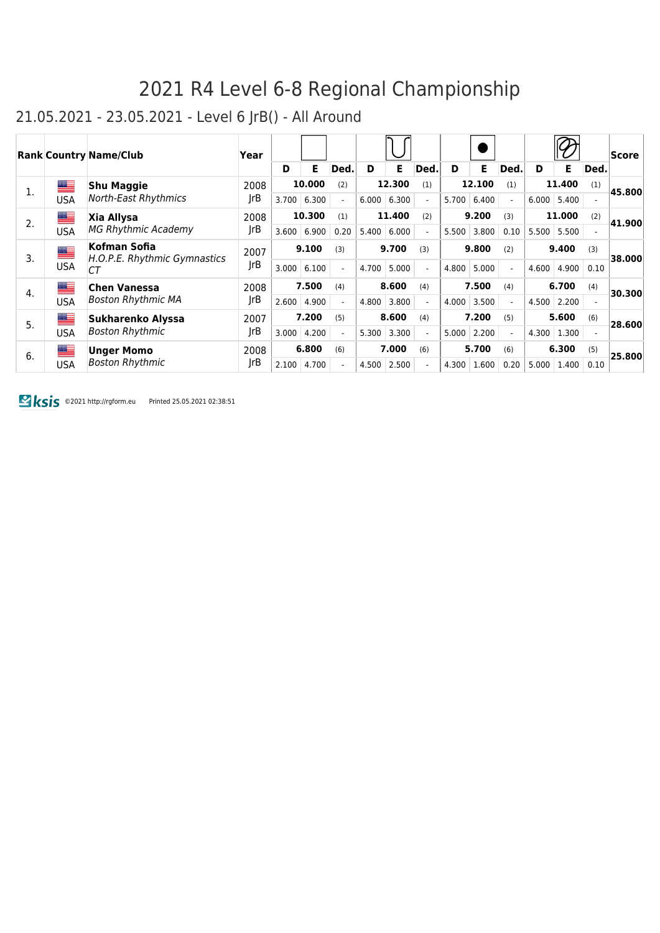#### 21.05.2021 - 23.05.2021 - Level 6 JrB() - All Around

|    |            | <b>Rank Country Name/Club</b>                | Year |       |        |                          |       |        |                          |       |        |                          |       |        |                          | <b>Score</b> |
|----|------------|----------------------------------------------|------|-------|--------|--------------------------|-------|--------|--------------------------|-------|--------|--------------------------|-------|--------|--------------------------|--------------|
|    |            |                                              |      | D     | E.     | Ded.                     | D     | E.     | Ded.                     | D     | E.     | Ded.                     | D     | E.     | Ded.                     |              |
| 1. | ▆▆         | <b>Shu Maggie</b>                            | 2008 |       | 10,000 | (2)                      |       | 12.300 | (1)                      |       | 12.100 | (1)                      |       | 11.400 | (1)                      | 45.800       |
|    | USA        | <b>North-East Rhythmics</b>                  | rB   | 3.700 | 6.300  | $\overline{\phantom{a}}$ | 6.000 | 6.300  | $\blacksquare$           | 5.700 | 6.400  | $\overline{\phantom{a}}$ | 6.000 | 5.400  |                          |              |
| 2. | █▆         | Xia Allysa                                   | 2008 |       | 10.300 | (1)                      |       | 11.400 | (2)                      |       | 9.200  | (3)                      |       | 11.000 | (2)                      | 41.900       |
|    | <b>USA</b> | <b>MG Rhythmic Academy</b>                   | JrB  | 3.600 | 6.900  | 0.20                     | 5.400 | 6.000  | $\overline{\phantom{0}}$ | 5.500 | 3.800  | 0.10                     | 5.500 | 5.500  |                          |              |
| 3. | <u>an </u> | Kofman Sofia<br>H.O.P.E. Rhythmic Gymnastics | 2007 |       | 9.100  | (3)                      |       | 9.700  | (3)                      |       | 9.800  | (2)                      |       | 9.400  | (3)                      | 38.000       |
|    | <b>USA</b> | СT                                           | JrB  | 3.000 | 6.100  | $\overline{\phantom{0}}$ | 4.700 | 5.000  | $\blacksquare$           | 4.800 | 5.000  | $\blacksquare$           | 4.600 | 4.900  | 0.10                     |              |
| 4. | █≡         | <b>Chen Vanessa</b>                          | 2008 |       | 7.500  | (4)                      |       | 8.600  | (4)                      |       | 7.500  | (4)                      |       | 6.700  | (4)                      | 30.300       |
|    | <b>USA</b> | <b>Boston Rhythmic MA</b>                    | JrB  | 2.600 | 4.900  |                          | 4.800 | 3.800  | $\overline{\phantom{a}}$ | 4.000 | 3.500  | $\overline{a}$           | 4.500 | 2.200  |                          |              |
| 5. | █≡         | Sukharenko Alyssa                            | 2007 |       | 7.200  | (5)                      |       | 8.600  | (4)                      |       | 7.200  | (5)                      |       | 5.600  | (6)                      | 28.600       |
|    | <b>USA</b> | <b>Boston Rhythmic</b>                       | rB   | 3.000 | 4.200  | $\overline{\phantom{0}}$ | 5.300 | 3.300  | $\overline{\phantom{0}}$ | 5.000 | 2.200  | $\sim$                   | 4.300 | 1.300  | $\overline{\phantom{0}}$ |              |
| 6. | ██         | <b>Unger Momo</b>                            | 2008 |       | 6.800  | (6)                      |       | 7.000  | (6)                      |       | 5.700  | (6)                      |       | 6.300  | (5)                      | 25.800       |
|    | <b>USA</b> | <b>Boston Rhythmic</b>                       | JrB  | 2.100 | 4.700  |                          | 4.500 | 2.500  | $\overline{\phantom{a}}$ | 4.300 | 1.600  | 0.20                     | 5.000 | 1.400  | 0.10                     |              |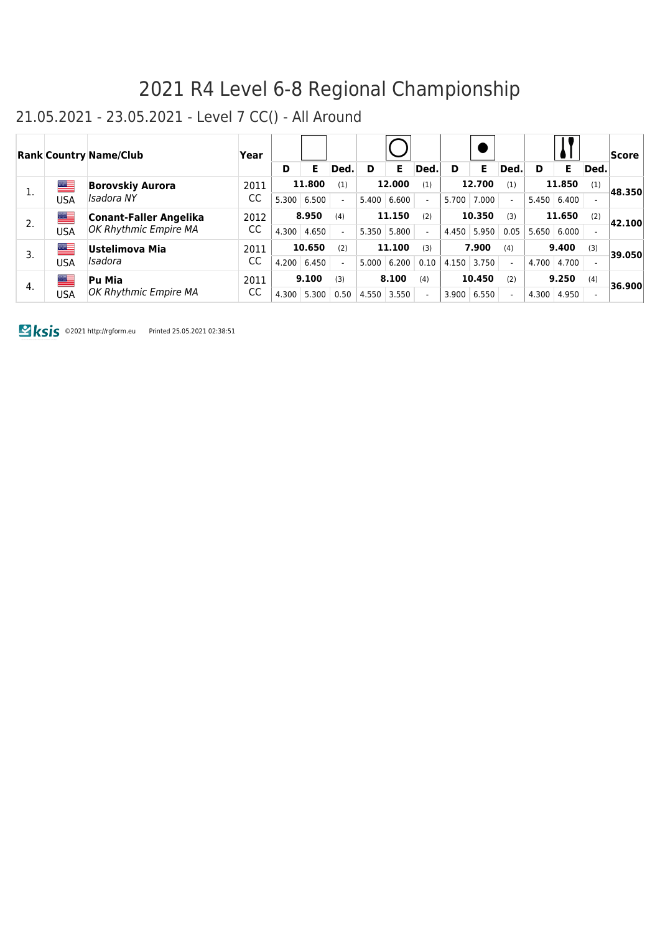#### 21.05.2021 - 23.05.2021 - Level 7 CC() - All Around

|    |     | <b>Rank Country Name/Club</b> | Year |       |        |      |       |        |      |       |               |                          |                    |               |      | Score  |
|----|-----|-------------------------------|------|-------|--------|------|-------|--------|------|-------|---------------|--------------------------|--------------------|---------------|------|--------|
|    |     |                               |      | D     | F      | Ded. | D     | Е      | Ded. | D     | E.            | Ded.                     | D                  | Е             | Ded. |        |
| 1. | ≝   | <b>Borovskiy Aurora</b>       | 2011 |       | 11.800 |      |       | 12.000 | (1)  |       | 12.700        | (1)                      |                    | 11.850        | (1)  | 48.350 |
|    | USA | Isadora NY                    | CC   | 5.300 | 6.500  |      | 5.400 | 6.600  |      | 5.700 | 7.000         |                          | $5.450 \mid 6.400$ |               |      |        |
| 2. | ▆▆  | <b>Conant-Faller Angelika</b> | 2012 |       | 8.950  | (4)  |       | 11.150 | (2)  |       | 10.350        | (3)                      |                    | 11.650        | (2)  | 42.100 |
|    | USA | OK Rhythmic Empire MA         | CC   | 4.300 | 4.650  |      | 5.350 | 5.800  |      |       | $4.450$ 5.950 | 0.05                     |                    | 5.650   6.000 |      |        |
| 3. | ▀   | Ustelimova Mia                | 2011 |       | 10.650 | (2)  |       | 11.100 | (3)  |       | 7.900         | (4)                      |                    | 9.400         | (3)  | 39.050 |
|    | USA | Isadora                       | CC   | 4.200 | 6.450  |      | 5.000 | 6.200  | 0.10 | 4.150 | 3.750         | $\overline{\phantom{0}}$ | 4.700              | 4.700         |      |        |
| 4. | ▆▆  | Pu Mia                        | 2011 |       | 9.100  | (3)  |       | 8.100  | (4)  |       | 10.450        | (2)                      |                    | 9.250         | (4)  | 36.900 |
|    | USA | OK Rhythmic Empire MA         | CC   | 4.300 | 5.300  | 0.50 | 4.550 | 3.550  |      | 3.900 | 6.550         |                          | 4.300              | 4.950         |      |        |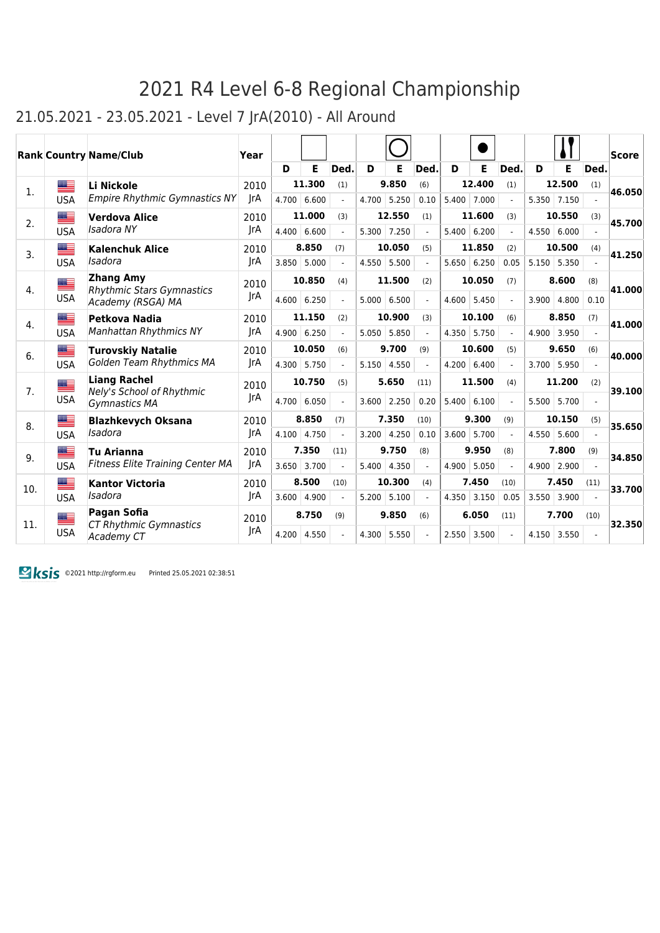### 21.05.2021 - 23.05.2021 - Level 7 JrA(2010) - All Around

|     |            | <b>Rank Country Name/Club</b>                        | Year       |       |        |                |       |             |                          |       |                    |                             |       |               |                          | <b>Score</b> |
|-----|------------|------------------------------------------------------|------------|-------|--------|----------------|-------|-------------|--------------------------|-------|--------------------|-----------------------------|-------|---------------|--------------------------|--------------|
|     |            |                                                      |            | D     | Е      | Ded.           | D     | Е           | Ded.                     | D     | Е                  | Ded.                        | D     | E             | Ded.                     |              |
| 1.  | ▆▆         | Li Nickole                                           | 2010       |       | 11.300 | (1)            |       | 9.850       | (6)                      |       | 12.400             | (1)                         |       | 12.500        | (1)                      | 46.050       |
|     | <b>USA</b> | <b>Empire Rhythmic Gymnastics NY</b>                 | <b>IrA</b> | 4.700 | 6.600  | $\overline{a}$ | 4.700 | 5.250       | 0.10                     | 5.400 | 7.000              | $\mathcal{L}$               |       | 5.350 7.150   |                          |              |
| 2.  | ▆▆         | <b>Verdova Alice</b>                                 | 2010       |       | 11.000 | (3)            |       | 12.550      | (1)                      |       | 11.600             | (3)                         |       | 10.550        | (3)                      | 45.700       |
|     | <b>USA</b> | Isadora NY                                           | JrA        | 4.400 | 6.600  | $\blacksquare$ |       | 5.300 7.250 | $\overline{\phantom{a}}$ |       | $5.400 \mid 6.200$ | $\mathcal{L}^{\mathcal{L}}$ |       | 4.550   6.000 |                          |              |
| 3.  | ▆▆         | <b>Kalenchuk Alice</b>                               | 2010       |       | 8.850  | (7)            |       | 10.050      | (5)                      |       | 11.850             | (2)                         |       | 10.500        | (4)                      | 41.250       |
|     | <b>USA</b> | Isadora                                              | JrA        | 3.850 | 5.000  |                | 4.550 | 5.500       |                          | 5.650 | 6.250              | 0.05                        |       | $5.150$ 5.350 |                          |              |
| 4.  | ▀          | <b>Zhang Amy</b><br><b>Rhythmic Stars Gymnastics</b> | 2010       |       | 10.850 | (4)            |       | 11.500      | (2)                      |       | 10.050             | (7)                         |       | 8.600         | (8)                      | 41.000       |
|     | <b>USA</b> | Academy (RSGA) MA                                    | JrA        | 4.600 | 6.250  | $\overline{a}$ | 5.000 | 6.500       | $\overline{a}$           | 4.600 | 5.450              | $\overline{a}$              | 3.900 | 4.800         | 0.10                     |              |
| 4.  | █≡         | Petkova Nadia                                        | 2010       |       | 11.150 | (2)            |       | 10.900      | (3)                      |       | 10.100             | (6)                         |       | 8.850         | (7)                      | 41.000       |
|     | <b>USA</b> | <b>Manhattan Rhythmics NY</b>                        | IrA        | 4.900 | 6.250  | $\overline{a}$ | 5.050 | 5.850       |                          | 4.350 | 5.750              |                             | 4.900 | 3.950         |                          |              |
| 6.  | ▀          | <b>Turovskiy Natalie</b>                             | 2010       |       | 10.050 | (6)            |       | 9.700       | (9)                      |       | 10.600             | (5)                         |       | 9.650         | (6)                      | 40.000       |
|     | <b>USA</b> | Golden Team Rhythmics MA                             | JrA        | 4.300 | 5.750  | $\overline{a}$ | 5.150 | 4.550       | $\blacksquare$           | 4.200 | 6.400              | $\overline{a}$              | 3.700 | 5.950         |                          |              |
| 7.  | ▀          | <b>Liang Rachel</b>                                  | 2010       |       | 10.750 | (5)            |       | 5.650       | (11)                     |       | 11.500             | (4)                         |       | 11.200        | (2)                      |              |
|     | <b>USA</b> | Nely's School of Rhythmic<br>Gymnastics MA           | JrA        | 4.700 | 6.050  | $\overline{a}$ | 3.600 | 2.250       | 0.20                     | 5.400 | 6.100              | $\blacksquare$              | 5.500 | 5.700         | $\overline{\phantom{0}}$ | 39.100       |
| 8.  | █▆         | <b>Blazhkevych Oksana</b>                            | 2010       |       | 8.850  | (7)            |       | 7.350       | (10)                     |       | 9.300              | (9)                         |       | 10.150        | (5)                      | 35.650       |
|     | <b>USA</b> | Isadora                                              | IrA        | 4.100 | 4.750  | $\overline{a}$ | 3.200 | 4.250       | 0.10                     | 3.600 | 5.700              | $\overline{a}$              | 4.550 | 5.600         |                          |              |
| 9.  | ▆▆         | <b>Tu Arianna</b>                                    | 2010       |       | 7.350  | (11)           |       | 9.750       | (8)                      |       | 9.950              | (8)                         |       | 7.800         | (9)                      | 34.850       |
|     | <b>USA</b> | <b>Fitness Elite Training Center MA</b>              | JrA        | 3.650 | 3.700  |                | 5.400 | 4.350       | $\overline{a}$           | 4.900 | 5.050              |                             | 4.900 | 2.900         |                          |              |
| 10. | ▆▆         | <b>Kantor Victoria</b>                               | 2010       |       | 8.500  | (10)           |       | 10.300      | (4)                      |       | 7.450              | (10)                        |       | 7.450         | (11)                     | 33.700       |
|     | <b>USA</b> | Isadora                                              | <b>IrA</b> | 3.600 | 4.900  |                | 5.200 | 5.100       |                          | 4.350 | 3.150              | 0.05                        | 3.550 | 3.900         |                          |              |
| 11. | ▆▆         | Pagan Sofia<br><b>CT Rhythmic Gymnastics</b>         | 2010       |       | 8.750  | (9)            |       | 9.850       | (6)                      |       | 6.050              | (11)                        |       | 7.700         | (10)                     | 32.350       |
|     | <b>USA</b> | Academy CT                                           | <b>JrA</b> | 4.200 | 4.550  |                | 4.300 | 5.550       |                          | 2.550 | 3.500              |                             | 4.150 | 3.550         |                          |              |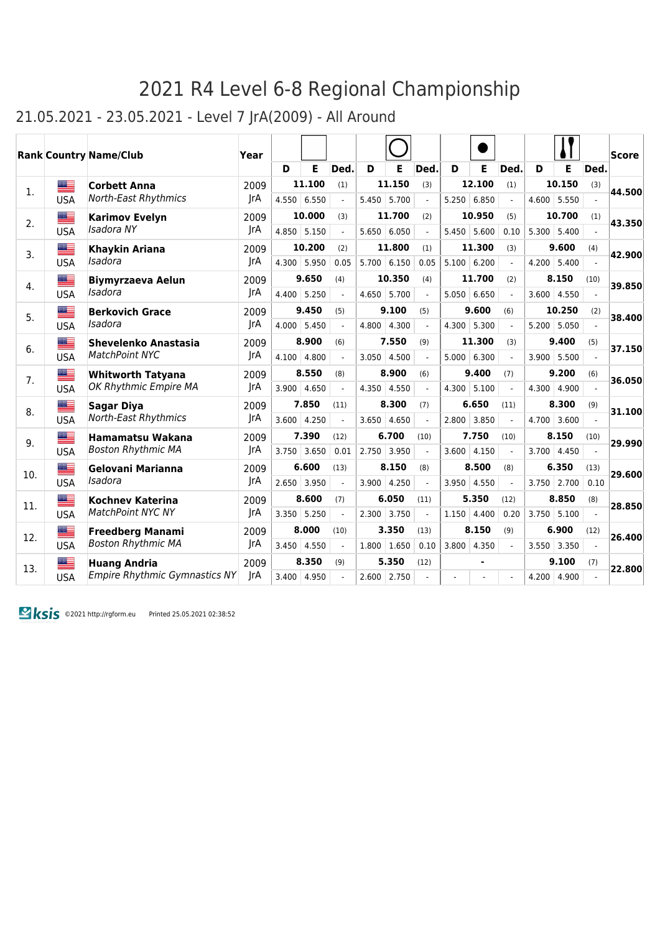### 21.05.2021 - 23.05.2021 - Level 7 JrA(2009) - All Around

|     |            | <b>Rank Country Name/Club</b>        | Year       |       |               |                |       |               |                          |       |                |                          |       |               |                | Score  |
|-----|------------|--------------------------------------|------------|-------|---------------|----------------|-------|---------------|--------------------------|-------|----------------|--------------------------|-------|---------------|----------------|--------|
|     |            |                                      |            | D     | E             | Ded.           | D     | Е             | Ded.                     | D     | E              | Ded.                     | D     | E             | Ded.           |        |
| 1.  | █▆         | <b>Corbett Anna</b>                  | 2009       |       | 11.100        | (1)            |       | 11.150        | (3)                      |       | 12.100         | (1)                      |       | 10.150        | (3)            | 44.500 |
|     | <b>USA</b> | <b>North-East Rhythmics</b>          | JrA        |       | 4.550   6.550 | $\overline{a}$ | 5.450 | 5.700         | $\overline{\phantom{a}}$ | 5.250 | 6.850          | $\mathcal{L}$            |       | $4.600$ 5.550 |                |        |
| 2.  | █▆         | <b>Karimov Evelyn</b>                | 2009       |       | 10.000        | (3)            |       | 11.700        | (2)                      |       | 10.950         | (5)                      |       | 10.700        | (1)            | 43.350 |
|     | <b>USA</b> | Isadora NY                           | JrA        | 4.850 | 5.150         | $\blacksquare$ |       | 5.650   6.050 |                          | 5.450 | 5.600          | 0.10                     |       | $5.300$ 5.400 |                |        |
| 3.  | ≝          | <b>Khaykin Ariana</b>                | 2009       |       | 10.200        | (2)            |       | 11.800        | (1)                      |       | 11.300         | (3)                      |       | 9.600         | (4)            | 42.900 |
|     | <b>USA</b> | Isadora                              | JrA        | 4.300 | 5.950         | 0.05           | 5.700 | 6.150         | 0.05                     |       | $5.100$ 6.200  |                          |       | $4.200$ 5.400 |                |        |
| 4.  | ▇          | <b>Biymyrzaeva Aelun</b>             | 2009       |       | 9.650         | (4)            |       | 10.350        | (4)                      |       | 11.700         | (2)                      |       | 8.150         | (10)           | 39.850 |
|     | <b>USA</b> | Isadora                              | IrA        | 4.400 | 5.250         |                | 4.650 | 5.700         |                          |       | 5.050   6.650  |                          | 3.600 | 4.550         |                |        |
| 5.  | ▓▆         | <b>Berkovich Grace</b>               | 2009       |       | 9.450         | (5)            |       | 9.100         | (5)                      |       | 9.600          | (6)                      |       | 10.250        | (2)            | 38.400 |
|     | <b>USA</b> | Isadora                              | JrA        | 4.000 | 5.450         |                |       | 4.800 4.300   |                          |       | 4.300 5.300    |                          |       | $5.200$ 5.050 |                |        |
| 6.  | ██         | Shevelenko Anastasia                 | 2009       |       | 8.900         | (6)            |       | 7.550         | (9)                      |       | 11.300         | (3)                      |       | 9.400         | (5)            | 37.150 |
|     | <b>USA</b> | <b>MatchPoint NYC</b>                | JrA        | 4.100 | 4.800         | $\overline{a}$ | 3.050 | 4.500         |                          | 5.000 | 6.300          | $\mathcal{L}$            | 3.900 | 5.500         | $\overline{a}$ |        |
| 7.  | ▆▆         | <b>Whitworth Tatyana</b>             | 2009       |       | 8.550         | (8)            |       | 8.900         | (6)                      |       | 9.400          | (7)                      |       | 9.200         | (6)            | 36.050 |
|     | <b>USA</b> | OK Rhythmic Empire MA                | <b>JrA</b> | 3.900 | 4.650         |                | 4.350 | 4.550         |                          | 4.300 | 5.100          |                          | 4.300 | 4.900         |                |        |
| 8.  | █▆         | <b>Sagar Diya</b>                    | 2009       |       | 7.850         | (11)           |       | 8.300         | (7)                      |       | 6.650          | (11)                     |       | 8.300         | (9)            | 31.100 |
|     | <b>USA</b> | <b>North-East Rhythmics</b>          | JrA        | 3.600 | 4.250         | $\overline{a}$ | 3.650 | 4.650         |                          | 2.800 | 3.850          | $\overline{\phantom{a}}$ |       | $4.700$ 3.600 |                |        |
| 9.  | ▆          | <b>Hamamatsu Wakana</b>              | 2009       |       | 7.390         | (12)           |       | 6.700         | (10)                     |       | 7.750          | (10)                     |       | 8.150         | (10)           | 29.990 |
|     | <b>USA</b> | <b>Boston Rhythmic MA</b>            | JrA        | 3.750 | 3.650         | 0.01           | 2.750 | 3.950         |                          | 3.600 | 4.150          |                          | 3.700 | 4.450         |                |        |
| 10. | ▆▆         | Gelovani Marianna                    | 2009       |       | 6.600         | (13)           |       | 8.150         | (8)                      |       | 8.500          | (8)                      |       | 6.350         | (13)           | 29.600 |
|     | <b>USA</b> | Isadora                              | JrA        | 2.650 | 3.950         |                | 3.900 | 4.250         |                          |       | $3.950$ 4.550  |                          |       | $3.750$ 2.700 | 0.10           |        |
| 11. | ▓▆         | <b>Kochney Katerina</b>              | 2009       |       | 8.600         | (7)            |       | 6.050         | (11)                     |       | 5.350          | (12)                     |       | 8.850         | (8)            | 28.850 |
|     | <b>USA</b> | <b>MatchPoint NYC NY</b>             | JrA        | 3.350 | 5.250         | $\overline{a}$ | 2.300 | 3.750         |                          | 1.150 | 4.400          | 0.20                     | 3.750 | 5.100         | $\overline{a}$ |        |
| 12. | ▆▆         | <b>Freedberg Manami</b>              | 2009       |       | 8.000         | (10)           |       | 3.350         | (13)                     |       | 8.150          | (9)                      |       | 6.900         | (12)           | 26.400 |
|     | <b>USA</b> | <b>Boston Rhythmic MA</b>            | JrA        | 3.450 | 4.550         |                | 1.800 | 1.650         | 0.10                     | 3.800 | 4.350          |                          | 3.550 | 3.350         |                |        |
| 13. | █≡         | <b>Huang Andria</b>                  | 2009       |       | 8.350         | (9)            |       | 5.350         | (12)                     |       | $\blacksquare$ |                          |       | 9.100         | (7)            | 22.800 |
|     | <b>USA</b> | <b>Empire Rhythmic Gymnastics NY</b> | JrA        | 3.400 | 4.950         |                | 2.600 | 2.750         |                          |       |                |                          | 4.200 | 4.900         |                |        |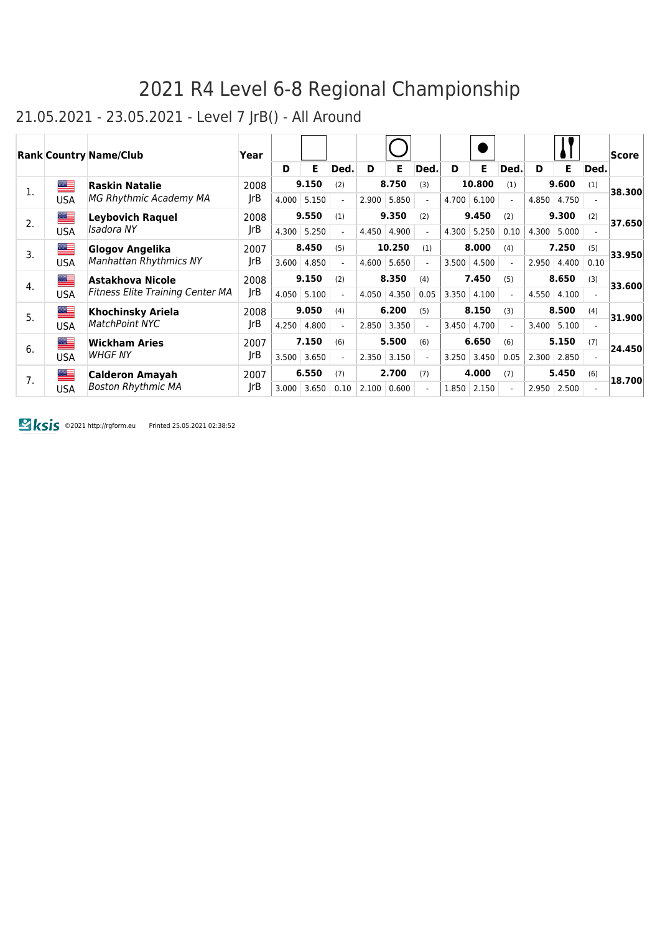### 21.05.2021 - 23.05.2021 - Level 7 JrB() - All Around

|    |            | <b>Rank Country Name/Club</b>           | Year |       |       |                          |       |               |                          |       |        |                          |       |       |                          | <b>Score</b> |
|----|------------|-----------------------------------------|------|-------|-------|--------------------------|-------|---------------|--------------------------|-------|--------|--------------------------|-------|-------|--------------------------|--------------|
|    |            |                                         |      | D     | Е     | Ded.                     | D     | Е             | Ded.                     | D     | Е      | Ded.                     | D     | E.    | Ded.                     |              |
| 1. | ▀          | <b>Raskin Natalie</b>                   | 2008 |       | 9.150 | (2)                      |       | 8.750         | (3)                      |       | 10.800 | (1)                      |       | 9.600 | (1)                      | 38.300       |
|    | <b>USA</b> | MG Rhythmic Academy MA                  | JrB  | 4.000 | 5.150 | $\overline{\phantom{0}}$ | 2.900 | 5.850         | $\overline{a}$           | 4.700 | 6.100  | $\sim$                   | 4.850 | 4.750 |                          |              |
| 2. | ≝          | <b>Leybovich Raquel</b>                 | 2008 |       | 9.550 | (1)                      |       | 9.350         | (2)                      |       | 9.450  | (2)                      |       | 9.300 | (2)                      | 37.650       |
|    | <b>USA</b> | Isadora NY                              | JrB  | 4.300 | 5.250 |                          | 4.450 | 4.900         | $\blacksquare$           | 4.300 | 5.250  | 0.10                     | 4.300 | 5.000 |                          |              |
| 3. | ▀          | Glogov Angelika                         | 2007 |       | 8.450 | (5)                      |       | 10.250        | (1)                      |       | 8.000  | (4)                      |       | 7.250 | (5)                      | 33.950       |
|    | <b>USA</b> | <b>Manhattan Rhythmics NY</b>           | rB   | 3.600 | 4.850 |                          |       | $4.600$ 5.650 | $\overline{\phantom{0}}$ | 3.500 | 4.500  | $\sim$                   | 2.950 | 4.400 | 0.10                     |              |
| 4. | ≝          | Astakhova Nicole                        | 2008 |       | 9.150 | (2)                      |       | 8.350         | (4)                      |       | 7.450  | (5)                      |       | 8.650 | (3)                      | 33.600       |
|    | <b>USA</b> | <b>Fitness Elite Training Center MA</b> | JrB  | 4.050 | 5.100 |                          | 4.050 | 4.350         | 0.05                     | 3.350 | 4.100  | $\overline{\phantom{a}}$ | 4.550 | 4.100 |                          |              |
| 5. | █▆         | <b>Khochinsky Ariela</b>                | 2008 |       | 9.050 | (4)                      |       | 6.200         | (5)                      |       | 8.150  | (3)                      |       | 8.500 | (4)                      | 31.900       |
|    | <b>USA</b> | <b>MatchPoint NYC</b>                   | JrB  | 4.250 | 4.800 |                          | 2.850 | 3.350         | $\overline{a}$           | 3.450 | 4.700  | $\overline{a}$           | 3.400 | 5.100 |                          |              |
| 6. | █▆         | <b>Wickham Aries</b>                    | 2007 |       | 7.150 | (6)                      |       | 5.500         | (6)                      |       | 6.650  | (6)                      |       | 5.150 | (7)                      | 24.450       |
|    | <b>USA</b> | <b>WHGF NY</b>                          | rB   | 3.500 | 3.650 |                          | 2.350 | 3.150         | $\overline{a}$           | 3.250 | 3.450  | 0.05                     | 2.300 | 2.850 |                          |              |
| 7. | █▆         | <b>Calderon Amayah</b>                  | 2007 |       | 6.550 | (7)                      |       | 2.700         | (7)                      |       | 4.000  | (7)                      |       | 5.450 | (6)                      | 18.700       |
|    | <b>USA</b> | <b>Boston Rhythmic MA</b>               | JrB  | 3.000 | 3.650 | 0.10                     | 2.100 | 0.600         | $\blacksquare$           | 1.850 | 2.150  | $\blacksquare$           | 2.950 | 2.500 | $\overline{\phantom{a}}$ |              |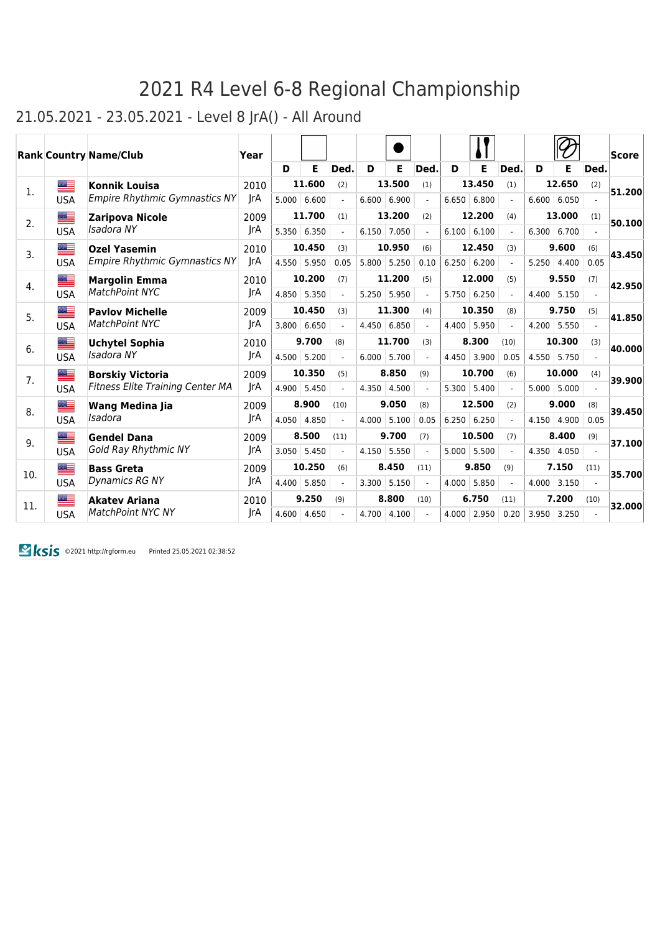### 21.05.2021 - 23.05.2021 - Level 8 JrA() - All Around

|     |             | <b>Rank Country Name/Club</b>        | Year |       |        |                |       |        |                |       |               |                |                    |               |      | Score  |
|-----|-------------|--------------------------------------|------|-------|--------|----------------|-------|--------|----------------|-------|---------------|----------------|--------------------|---------------|------|--------|
|     |             |                                      |      | D     | E      | Ded.           | D     | Е      | Ded.           | D     | Е             | Ded.           | D                  | Е             | Ded. |        |
| 1.  | <u> a l</u> | <b>Konnik Louisa</b>                 | 2010 |       | 11.600 | (2)            |       | 13.500 | (1)            |       | 13.450        | (1)            |                    | 12.650        | (2)  | 51.200 |
|     | <b>USA</b>  | <b>Empire Rhythmic Gymnastics NY</b> | JrA  | 5.000 | 6.600  |                | 6.600 | 6.900  |                |       | 6.650   6.800 |                |                    | 6.600   6.050 |      |        |
| 2.  | ▆▆          | <b>Zaripova Nicole</b>               | 2009 |       | 11.700 | (1)            |       | 13.200 | (2)            |       | 12.200        | (4)            |                    | 13.000        | (1)  | 50.100 |
|     | <b>USA</b>  | Isadora NY                           | JrA  | 5.350 | 6.350  | $\overline{a}$ | 6.150 | 7.050  | $\blacksquare$ |       | 6.100   6.100 | $\blacksquare$ | $6.300 \mid 6.700$ |               |      |        |
| 3.  | ▆▆          | <b>Ozel Yasemin</b>                  | 2010 |       | 10.450 | (3)            |       | 10.950 | (6)            |       | 12.450        | (3)            |                    | 9.600         | (6)  | 43.450 |
|     | <b>USA</b>  | <b>Empire Rhythmic Gymnastics NY</b> | JrA  | 4.550 | 5.950  | 0.05           | 5.800 | 5.250  | 0.10           | 6.250 | 6.200         |                | 5.250              | 4.400         | 0.05 |        |
| 4.  | <u>est</u>  | <b>Margolin Emma</b>                 | 2010 |       | 10.200 | (7)            |       | 11.200 | (5)            |       | 12,000        | (5)            |                    | 9.550         | (7)  | 42.950 |
|     | <b>USA</b>  | <b>MatchPoint NYC</b>                | IrA  | 4.850 | 5.350  | $\overline{a}$ | 5.250 | 5.950  | $\overline{a}$ | 5.750 | 6.250         |                | 4.400              | 5.150         |      |        |
| 5.  | <u>est</u>  | <b>Pavlov Michelle</b>               | 2009 |       | 10.450 | (3)            |       | 11.300 | (4)            |       | 10.350        | (8)            |                    | 9.750         | (5)  | 41.850 |
|     | <b>USA</b>  | <b>MatchPoint NYC</b>                | JrA  | 3.800 | 6.650  |                | 4.450 | 6.850  |                | 4.400 | 5.950         |                | 4.200              | 5.550         |      |        |
| 6.  | <u>an B</u> | <b>Uchytel Sophia</b>                | 2010 |       | 9.700  | (8)            |       | 11.700 | (3)            |       | 8.300         | (10)           |                    | 10.300        | (3)  | 40.000 |
|     | <b>USA</b>  | Isadora NY                           | rA   | 4.500 | 5.200  |                | 6.000 | 5.700  |                | 4.450 | 3.900         | 0.05           | 4.550 5.750        |               |      |        |
| 7.  | ▀           | <b>Borskiy Victoria</b>              | 2009 |       | 10.350 | (5)            |       | 8.850  | (9)            |       | 10.700        | (6)            |                    | 10.000        | (4)  | 39.900 |
|     | <b>USA</b>  | Fitness Elite Training Center MA     | JrA  | 4.900 | 5.450  | $\overline{a}$ | 4.350 | 4.500  | $\overline{a}$ | 5.300 | 5.400         | $\blacksquare$ | 5.000              | 5.000         |      |        |
| 8.  | ▆           | <b>Wang Medina Jia</b>               | 2009 |       | 8.900  | (10)           |       | 9.050  | (8)            |       | 12.500        | (2)            |                    | 9.000         | (8)  | 39.450 |
|     | <b>USA</b>  | Isadora                              | JrA  | 4.050 | 4.850  |                | 4.000 | 5.100  | 0.05           |       | 6.250   6.250 |                | 4.150              | 4.900         | 0.05 |        |
| 9.  | <u>an B</u> | <b>Gendel Dana</b>                   | 2009 |       | 8.500  | (11)           |       | 9.700  | (7)            |       | 10.500        | (7)            |                    | 8.400         | (9)  | 37.100 |
|     | <b>USA</b>  | Gold Ray Rhythmic NY                 | JrA  | 3.050 | 5.450  |                | 4.150 | 5.550  | $\overline{a}$ | 5.000 | 5.500         |                | 4.350              | 4.050         |      |        |
| 10. | ▀           | <b>Bass Greta</b>                    | 2009 |       | 10.250 | (6)            |       | 8.450  | (11)           |       | 9.850         | (9)            |                    | 7.150         | (11) | 35.700 |
|     | <b>USA</b>  | Dynamics RG NY                       | JrA  | 4.400 | 5.850  |                | 3.300 | 5.150  |                | 4.000 | 5.850         |                | $4.000$ 3.150      |               |      |        |
| 11. | ▀           | <b>Akatev Ariana</b>                 | 2010 |       | 9.250  | (9)            |       | 8.800  | (10)           |       | 6.750         | (11)           |                    | 7.200         | (10) | 32.000 |
|     | <b>USA</b>  | <b>MatchPoint NYC NY</b>             | JrA  | 4.600 | 4.650  |                | 4.700 | 4.100  |                | 4.000 | 2.950         | 0.20           | $3.950$ 3.250      |               |      |        |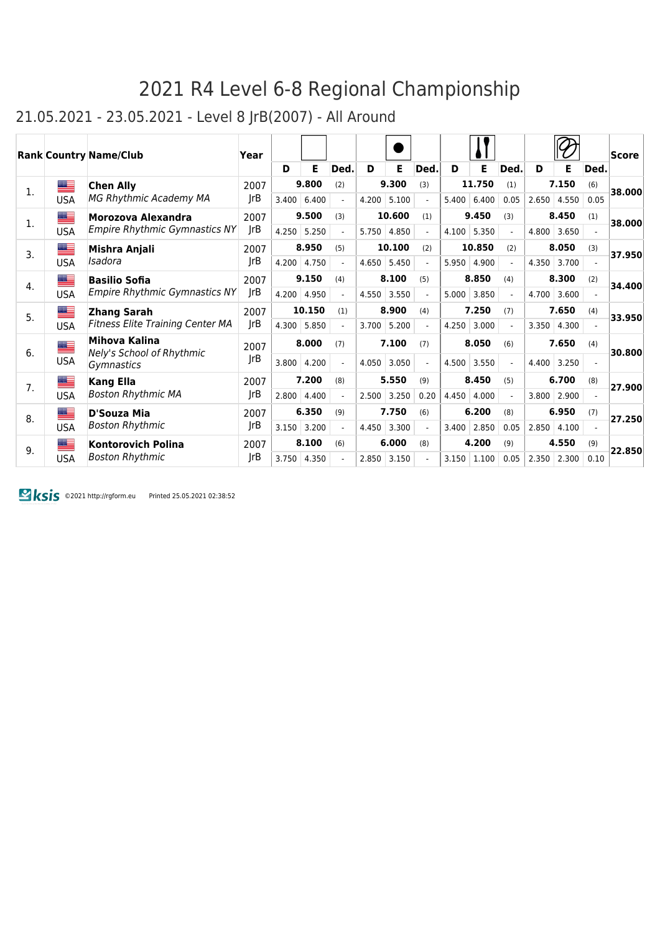### 21.05.2021 - 23.05.2021 - Level 8 JrB(2007) - All Around

|    |            | <b>Rank Country Name/Club</b>              | Year |       |        |                |       |        |                |       |        |                |       |       |      | <b>Score</b> |
|----|------------|--------------------------------------------|------|-------|--------|----------------|-------|--------|----------------|-------|--------|----------------|-------|-------|------|--------------|
|    |            |                                            |      | D     | Е      | Ded.           | D     | Е      | Ded.           | D     | Е      | Ded.           | D     | Е     | Ded. |              |
| 1. |            | <b>Chen Ally</b>                           | 2007 |       | 9.800  | (2)            |       | 9.300  | (3)            |       | 11.750 | (1)            |       | 7.150 | (6)  | 38.000       |
|    | <b>USA</b> | MG Rhythmic Academy MA                     | JrB  | 3.400 | 6.400  | $\overline{a}$ | 4.200 | 5.100  | $\blacksquare$ | 5.400 | 6.400  | 0.05           | 2.650 | 4.550 | 0.05 |              |
| 1. | ▆▆         | Morozova Alexandra                         | 2007 |       | 9.500  | (3)            |       | 10.600 | (1)            |       | 9.450  | (3)            |       | 8.450 | (1)  | 38.000       |
|    | <b>USA</b> | <b>Empire Rhythmic Gymnastics NY</b>       | JrB  | 4.250 | 5.250  |                | 5.750 | 4.850  |                | 4.100 | 5.350  |                | 4.800 | 3.650 |      |              |
| 3. | ▀          | Mishra Anjali                              | 2007 |       | 8.950  | (5)            |       | 10.100 | (2)            |       | 10.850 | (2)            |       | 8.050 | (3)  | 37.950       |
|    | <b>USA</b> | Isadora                                    | rB   | 4.200 | 4.750  |                | 4.650 | 5.450  |                | 5.950 | 4.900  |                | 4.350 | 3.700 |      |              |
| 4. | ██         | <b>Basilio Sofia</b>                       | 2007 |       | 9.150  | (4)            |       | 8.100  | (5)            |       | 8.850  | (4)            |       | 8.300 | (2)  | 34.400       |
|    | <b>USA</b> | <b>Empire Rhythmic Gymnastics NY</b>       | JrB  | 4.200 | 4.950  | $\overline{a}$ | 4.550 | 3.550  | $\blacksquare$ | 5.000 | 3.850  | $\blacksquare$ | 4.700 | 3.600 |      |              |
| 5. | ▀          | <b>Zhang Sarah</b>                         | 2007 |       | 10.150 | (1)            |       | 8.900  | (4)            |       | 7.250  | (7)            |       | 7.650 | (4)  | 33.950       |
|    | <b>USA</b> | <b>Fitness Elite Training Center MA</b>    | rB   | 4.300 | 5.850  |                | 3.700 | 5.200  |                | 4.250 | 3.000  |                | 3.350 | 4.300 |      |              |
| 6. | <u>a </u>  | Mihova Kalina<br>Nely's School of Rhythmic | 2007 |       | 8.000  | (7)            |       | 7.100  | (7)            |       | 8.050  | (6)            |       | 7.650 | (4)  | 30.800       |
|    | <b>USA</b> | Gymnastics                                 | JrB  | 3.800 | 4.200  |                | 4.050 | 3.050  |                | 4.500 | 3.550  |                | 4.400 | 3.250 |      |              |
| 7. | ▀          | <b>Kang Ella</b>                           | 2007 |       | 7.200  | (8)            |       | 5.550  | (9)            |       | 8.450  | (5)            |       | 6.700 | (8)  | 27.900       |
|    | <b>USA</b> | <b>Boston Rhythmic MA</b>                  | JrB  | 2.800 | 4.400  |                | 2.500 | 3.250  | 0.20           | 4.450 | 4.000  |                | 3.800 | 2.900 |      |              |
| 8. | ▀          | D'Souza Mia                                | 2007 |       | 6.350  | (9)            |       | 7.750  | (6)            |       | 6.200  | (8)            |       | 6.950 | (7)  | 27.250       |
|    | <b>USA</b> | <b>Boston Rhythmic</b>                     | JrB  | 3.150 | 3.200  |                | 4.450 | 3.300  |                | 3.400 | 2.850  | 0.05           | 2.850 | 4.100 |      |              |
| 9. | ≡          | <b>Kontorovich Polina</b>                  | 2007 |       | 8.100  | (6)            |       | 6.000  | (8)            |       | 4.200  | (9)            |       | 4.550 | (9)  | 22.850       |
|    | <b>USA</b> | <b>Boston Rhythmic</b>                     | JrB  | 3.750 | 4.350  |                | 2.850 | 3.150  |                | 3.150 | 1.100  | 0.05           | 2.350 | 2.300 | 0.10 |              |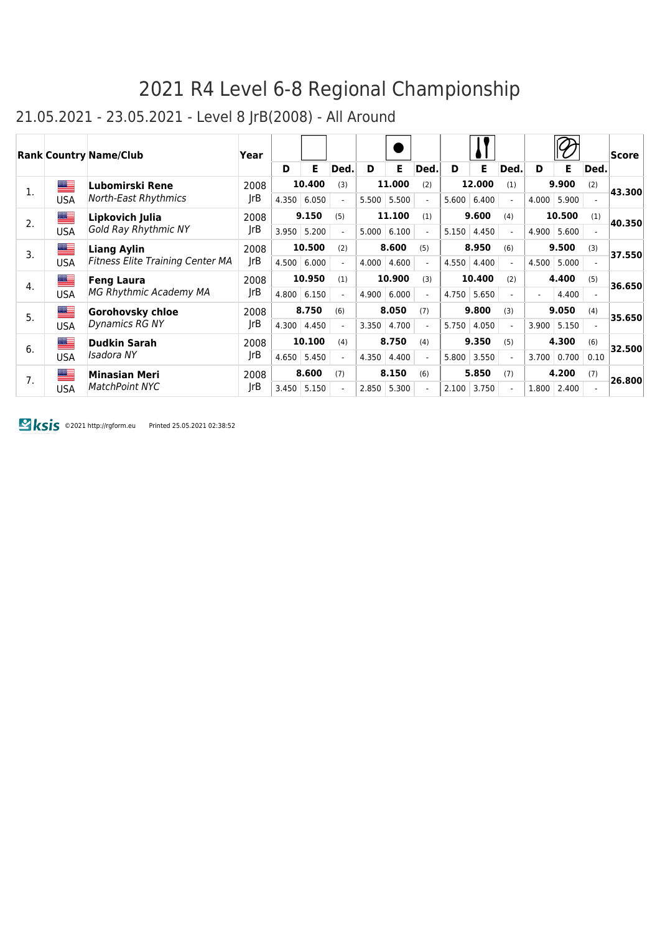### 21.05.2021 - 23.05.2021 - Level 8 JrB(2008) - All Around

|    |                                                            | <b>Rank Country Name/Club</b>                                                     | Year |                                          |        |                          |        |        |                          |        |        |                          |                          |       |                          | $ {\sf Score} $ |       |  |       |       |  |        |
|----|------------------------------------------------------------|-----------------------------------------------------------------------------------|------|------------------------------------------|--------|--------------------------|--------|--------|--------------------------|--------|--------|--------------------------|--------------------------|-------|--------------------------|-----------------|-------|--|-------|-------|--|--------|
|    |                                                            |                                                                                   |      | D                                        | Е      | Ded.                     | D      | Е      | Ded.                     | D      | Е      | Ded.                     | D                        | Е     | Ded.                     |                 |       |  |       |       |  |        |
| 1. | ██                                                         | Lubomirski Rene                                                                   | 2008 |                                          | 10.400 | (3)                      |        | 11.000 | (2)                      |        | 12.000 | (1)                      |                          | 9.900 | (2)                      | 43.300          |       |  |       |       |  |        |
|    | <b>USA</b>                                                 | North-East Rhythmics                                                              | JrB  | 4.350                                    | 6.050  | $\overline{\phantom{0}}$ | 5.500  | 5.500  | $\overline{\phantom{0}}$ | 5.600  | 6.400  | $\overline{a}$           | 4.000                    | 5.900 |                          |                 |       |  |       |       |  |        |
| 2. | ≝<br>Lipkovich Julia<br>Gold Ray Rhythmic NY<br><b>USA</b> | 2008                                                                              |      | 9.150                                    | (5)    |                          | 11.100 | (1)    |                          | 9.600  | (4)    |                          | 10.500                   | (1)   | 40.350                   |                 |       |  |       |       |  |        |
|    |                                                            |                                                                                   | JrB  | 3.950                                    | 5.200  | $\overline{\phantom{0}}$ | 5.000  | 6.100  | $\overline{\phantom{0}}$ | 5.150  | 4.450  | $\overline{\phantom{0}}$ | 4.900                    | 5.600 |                          |                 |       |  |       |       |  |        |
| 3. |                                                            | ██<br><b>Liang Aylin</b><br><b>Fitness Elite Training Center MA</b><br><b>USA</b> | 2008 |                                          | 10.500 | (2)                      |        | 8.600  | (5)                      |        | 8.950  | (6)                      |                          | 9.500 | (3)                      | 37.550          |       |  |       |       |  |        |
|    |                                                            |                                                                                   | JrB  | 4.500                                    | 6.000  | $\overline{a}$           | 4.000  | 4.600  | $\overline{\phantom{0}}$ | 4.550  | 4.400  | $\overline{a}$           | 4.500                    | 5.000 |                          |                 |       |  |       |       |  |        |
| 4. | ██<br><b>USA</b>                                           | <b>Feng Laura</b><br>MG Rhythmic Academy MA                                       | 2008 | 10.950<br>10.900<br>10.400<br>(3)<br>(1) |        | (2)                      |        | 4.400  | (5)                      | 36.650 |        |                          |                          |       |                          |                 |       |  |       |       |  |        |
|    |                                                            |                                                                                   | JrB  | 4.800                                    | 6.150  |                          | 4.900  | 6.000  |                          | 4.750  | 5.650  |                          | $\overline{\phantom{a}}$ | 4.400 |                          |                 |       |  |       |       |  |        |
| 5. | ▆▆                                                         | <b>Gorohovsky chloe</b>                                                           | 2008 |                                          | 8.750  | (6)                      |        | 8.050  | (7)                      |        | 9.800  | (3)                      |                          | 9.050 | (4)                      |                 |       |  |       |       |  |        |
|    | <b>USA</b>                                                 | Dynamics RG NY                                                                    | JrB  |                                          |        |                          |        |        |                          | 4.300  | 4.450  |                          | 3.350                    | 4.700 |                          | 5.750           | 4.050 |  | 3.900 | 5.150 |  | 35.650 |
| 6. |                                                            | █▆<br><b>Dudkin Sarah</b><br>Isadora NY<br><b>USA</b>                             | 2008 |                                          | 10.100 | (4)                      |        | 8.750  | (4)                      |        | 9.350  | (5)                      |                          | 4.300 | (6)                      | 32.500          |       |  |       |       |  |        |
|    |                                                            |                                                                                   | JrB  | 4.650                                    | 5.450  |                          | 4.350  | 4.400  |                          | 5.800  | 3.550  |                          | 3.700                    | 0.700 | 0.10                     |                 |       |  |       |       |  |        |
| 7. | ▆▆                                                         | <b>Minasian Meri</b>                                                              | 2008 |                                          | 8.600  | (7)                      |        | 8.150  | (6)                      |        | 5.850  | (7)                      |                          | 4.200 | (7)                      | 26.800          |       |  |       |       |  |        |
|    | <b>USA</b>                                                 | <b>MatchPoint NYC</b>                                                             | JrB  | 3.450                                    | 5.150  |                          | 2.850  | 5.300  | $\overline{\phantom{0}}$ | 2.100  | 3.750  | $\overline{a}$           | 1.800                    | 2.400 | $\overline{\phantom{0}}$ |                 |       |  |       |       |  |        |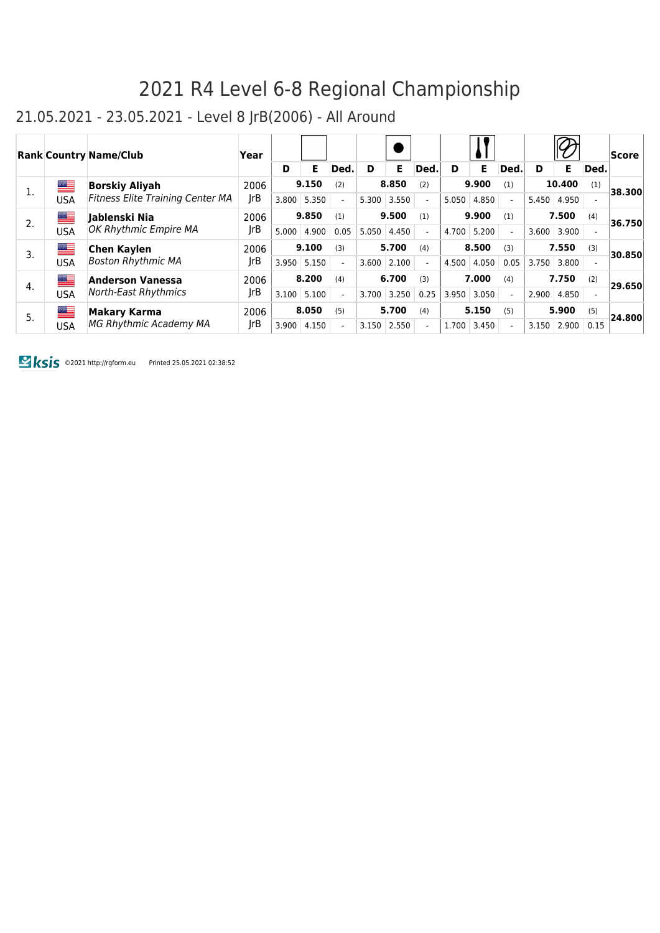### 21.05.2021 - 23.05.2021 - Level 8 JrB(2006) - All Around

|    |     | <b>Rank Country Name/Club</b>                          | Year        |       |       |      |       |       |                |       |       |                          |       |        |      | Score  |       |      |                                  |  |       |       |
|----|-----|--------------------------------------------------------|-------------|-------|-------|------|-------|-------|----------------|-------|-------|--------------------------|-------|--------|------|--------|-------|------|----------------------------------|--|-------|-------|
|    |     |                                                        |             | D     | Е     | Ded. | D     | E.    | Ded.           | D     | Е     | Ded.                     | D     | Е      | Ded. |        |       |      |                                  |  |       |       |
|    | ▆▆  | <b>Borskiy Aliyah</b>                                  | 2006        |       | 9.150 | (2)  |       | 8.850 | (2)            |       | 9.900 | (1)                      |       | 10,400 | (1)  | 38.300 |       |      |                                  |  |       |       |
|    | USA | <b>Fitness Elite Training Center MA</b>                | JrB         | 3.800 | 5.350 |      | 5.300 | 3.550 | $\overline{a}$ | 5.050 | 4.850 | $\overline{a}$           | 5.450 | 4.950  |      |        |       |      |                                  |  |       |       |
| 2. | ▆▆  | lablenski Nia                                          | 2006        |       | 9.850 | (1)  |       | 9.500 | (1)            |       | 9.900 | (1)                      |       | 7.500  | (4)  | 36.750 |       |      |                                  |  |       |       |
|    | USA | OK Rhythmic Empire MA                                  | JrB         | 5.000 | 4.900 | 0.05 | 5.050 | 4.450 | $\overline{a}$ | 4.700 | 5.200 | $\overline{a}$           | 3.600 | 3.900  |      |        |       |      |                                  |  |       |       |
| 3. | ▆▆  | <b>Chen Kaylen</b>                                     |             | 9.100 |       | (3)  |       | 5.700 | (4)            |       | 8.500 | (3)                      |       | 7.550  | (3)  | 30.850 |       |      |                                  |  |       |       |
|    | USA | <b>Boston Rhythmic MA</b>                              | JrB         | 3.950 | 5.150 |      | 3.600 | 2.100 | $\overline{a}$ | 4.500 | 4.050 | 0.05                     | 3.750 | 3.800  |      |        |       |      |                                  |  |       |       |
| 4. | ██  | <b>Anderson Vanessa</b><br>North-East Rhythmics<br>USA | 2006<br>JrB |       | 8.200 | (4)  |       | 6.700 | (3)            |       | 7.000 | (4)                      |       | 7.750  | (2)  | 29.650 |       |      |                                  |  |       |       |
|    |     |                                                        |             |       |       |      |       |       |                |       |       |                          | 3.100 | 5.100  |      | 3.700  | 3.250 | 0.25 | 3.050<br>3.950<br>$\overline{a}$ |  | 2.900 | 4.850 |
| 5. | ▆   | Makary Karma                                           | 2006        |       | 8.050 | (5)  |       | 5.700 | (4)            |       | 5.150 | (5)                      |       | 5.900  | (5)  | 24.800 |       |      |                                  |  |       |       |
|    | USA | <b>MG Rhythmic Academy MA</b>                          | JrB         | 3.900 | 4.150 |      | 3.150 | 2.550 | $\overline{a}$ | 1.700 | 3.450 | $\overline{\phantom{a}}$ | 3.150 | 2.900  | 0.15 |        |       |      |                                  |  |       |       |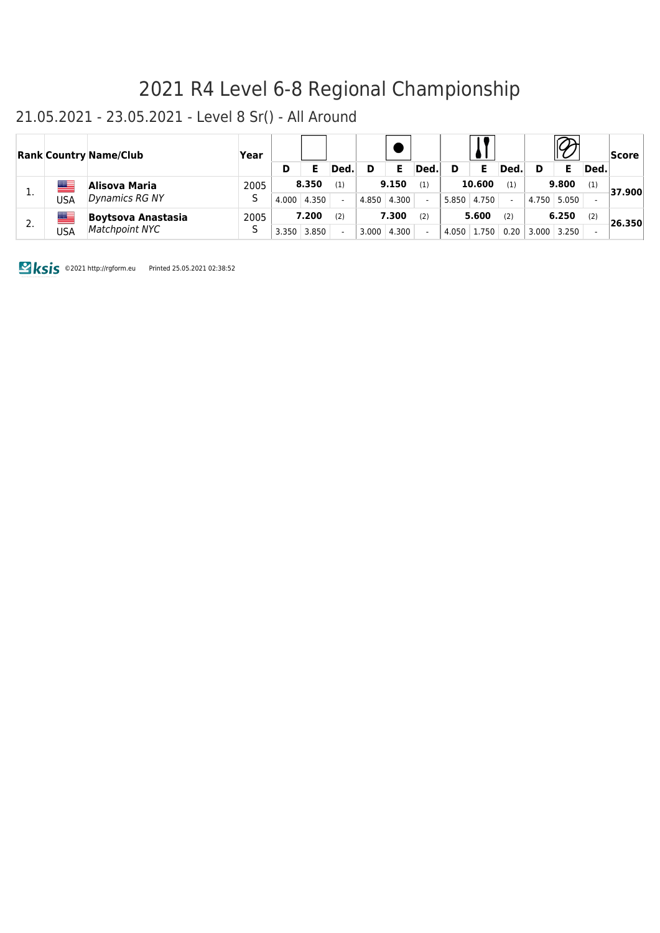#### 21.05.2021 - 23.05.2021 - Level 8 Sr() - All Around

|    |               | <b>Rank Country Name/Club</b>        | Year      |       |       |       |       |       |        | <b>Score</b> |       |       |       |             |        |        |
|----|---------------|--------------------------------------|-----------|-------|-------|-------|-------|-------|--------|--------------|-------|-------|-------|-------------|--------|--------|
|    |               |                                      |           | D     |       | Ded.  | D     |       | Ded.   | D            |       | Ded.  | D     |             | Ded.   |        |
|    | Alisova Maria | 2005                                 | 8.350     |       | (1)   | 9.150 |       | (1)   | 10.600 |              | (1)   | 9.800 |       | (1)         | 37.900 |        |
| ∸. | USA           | Dynamics RG NY                       | د         | 4.000 | 4.350 |       | 4.850 | 4.300 |        | 5.850        | 4.750 |       |       | 4.750 5.050 |        |        |
| 2. | USA           | Boytsova Anastasia<br>Matchpoint NYC | 2005<br>ر |       | 7.200 | (2)   |       | 7.300 | (2)    |              | 5.600 | (2)   |       | 6.250       | (2)    | 26.350 |
|    |               |                                      |           | 3.350 | 3.850 |       | 3.000 | 4.300 |        | 4.050        | 1.750 | 0.20  | 3.000 | 3.250       |        |        |